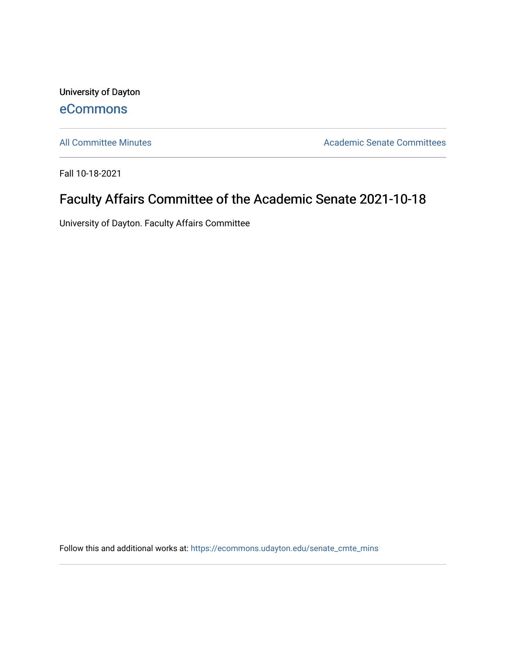University of Dayton [eCommons](https://ecommons.udayton.edu/)

[All Committee Minutes](https://ecommons.udayton.edu/senate_cmte_mins) **Academic Senate Committees** 

Fall 10-18-2021

## Faculty Affairs Committee of the Academic Senate 2021-10-18

University of Dayton. Faculty Affairs Committee

Follow this and additional works at: [https://ecommons.udayton.edu/senate\\_cmte\\_mins](https://ecommons.udayton.edu/senate_cmte_mins?utm_source=ecommons.udayton.edu%2Fsenate_cmte_mins%2F460&utm_medium=PDF&utm_campaign=PDFCoverPages)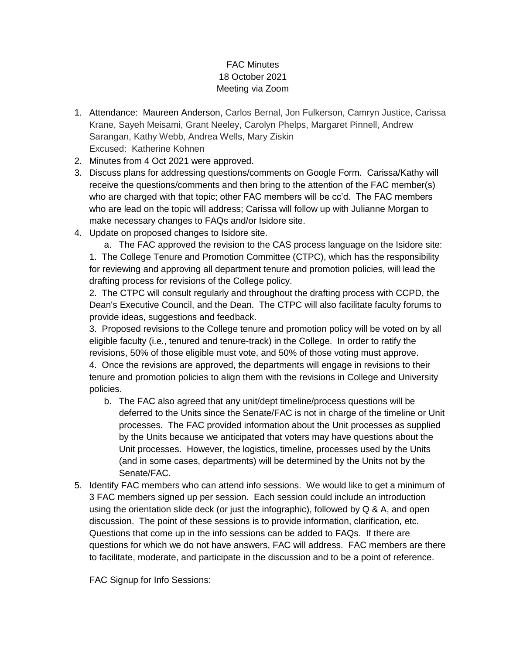## FAC Minutes 18 October 2021 Meeting via Zoom

- 1. Attendance: Maureen Anderson, Carlos Bernal, Jon Fulkerson, Camryn Justice, Carissa Krane, Sayeh Meisami, Grant Neeley, Carolyn Phelps, Margaret Pinnell, Andrew Sarangan, Kathy Webb, Andrea Wells, Mary Ziskin Excused: Katherine Kohnen
- 2. Minutes from 4 Oct 2021 were approved.
- 3. Discuss plans for addressing questions/comments on Google Form. Carissa/Kathy will receive the questions/comments and then bring to the attention of the FAC member(s) who are charged with that topic; other FAC members will be cc'd. The FAC members who are lead on the topic will address; Carissa will follow up with Julianne Morgan to make necessary changes to FAQs and/or Isidore site.
- 4. Update on proposed changes to Isidore site.

a. The FAC approved the revision to the CAS process language on the Isidore site: 1. The College Tenure and Promotion Committee (CTPC), which has the responsibility for reviewing and approving all department tenure and promotion policies, will lead the drafting process for revisions of the College policy.

2. The CTPC will consult regularly and throughout the drafting process with CCPD, the Dean's Executive Council, and the Dean. The CTPC will also facilitate faculty forums to provide ideas, suggestions and feedback.

3. Proposed revisions to the College tenure and promotion policy will be voted on by all eligible faculty (i.e., tenured and tenure-track) in the College. In order to ratify the revisions, 50% of those eligible must vote, and 50% of those voting must approve. 4. Once the revisions are approved, the departments will engage in revisions to their tenure and promotion policies to align them with the revisions in College and University policies.

- b. The FAC also agreed that any unit/dept timeline/process questions will be deferred to the Units since the Senate/FAC is not in charge of the timeline or Unit processes. The FAC provided information about the Unit processes as supplied by the Units because we anticipated that voters may have questions about the Unit processes. However, the logistics, timeline, processes used by the Units (and in some cases, departments) will be determined by the Units not by the Senate/FAC.
- 5. Identify FAC members who can attend info sessions. We would like to get a minimum of 3 FAC members signed up per session. Each session could include an introduction using the orientation slide deck (or just the infographic), followed by Q & A, and open discussion. The point of these sessions is to provide information, clarification, etc. Questions that come up in the info sessions can be added to FAQs. If there are questions for which we do not have answers, FAC will address. FAC members are there to facilitate, moderate, and participate in the discussion and to be a point of reference.

FAC Signup for Info Sessions: